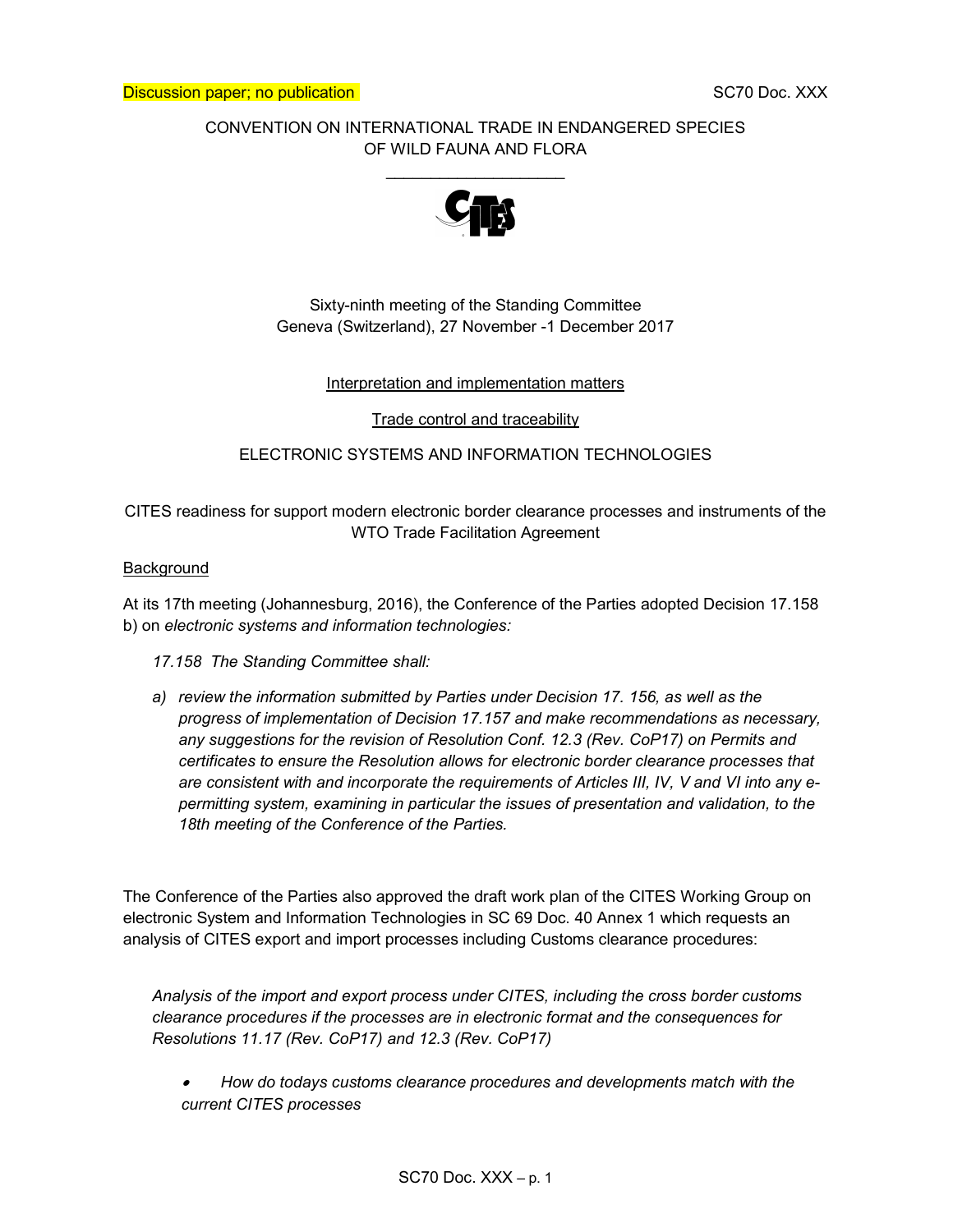### CONVENTION ON INTERNATIONAL TRADE IN ENDANGERED SPECIES OF WILD FAUNA AND FLORA

 $\overline{\phantom{a}}$ 



### Sixty-ninth meeting of the Standing Committee Geneva (Switzerland), 27 November -1 December 2017

#### Interpretation and implementation matters

Trade control and traceability

#### ELECTRONIC SYSTEMS AND INFORMATION TECHNOLOGIES

CITES readiness for support modern electronic border clearance processes and instruments of the WTO Trade Facilitation Agreement

#### Background

At its 17th meeting (Johannesburg, 2016), the Conference of the Parties adopted Decision 17.158 b) on electronic systems and information technologies:

17.158 The Standing Committee shall:

a) review the information submitted by Parties under Decision 17. 156, as well as the progress of implementation of Decision 17.157 and make recommendations as necessary, any suggestions for the revision of Resolution Conf. 12.3 (Rev. CoP17) on Permits and certificates to ensure the Resolution allows for electronic border clearance processes that are consistent with and incorporate the requirements of Articles III, IV, V and VI into any epermitting system, examining in particular the issues of presentation and validation, to the 18th meeting of the Conference of the Parties.

The Conference of the Parties also approved the draft work plan of the CITES Working Group on electronic System and Information Technologies in SC 69 Doc. 40 Annex 1 which requests an analysis of CITES export and import processes including Customs clearance procedures:

Analysis of the import and export process under CITES, including the cross border customs clearance procedures if the processes are in electronic format and the consequences for Resolutions 11.17 (Rev. CoP17) and 12.3 (Rev. CoP17)

How do todays customs clearance procedures and developments match with the current CITES processes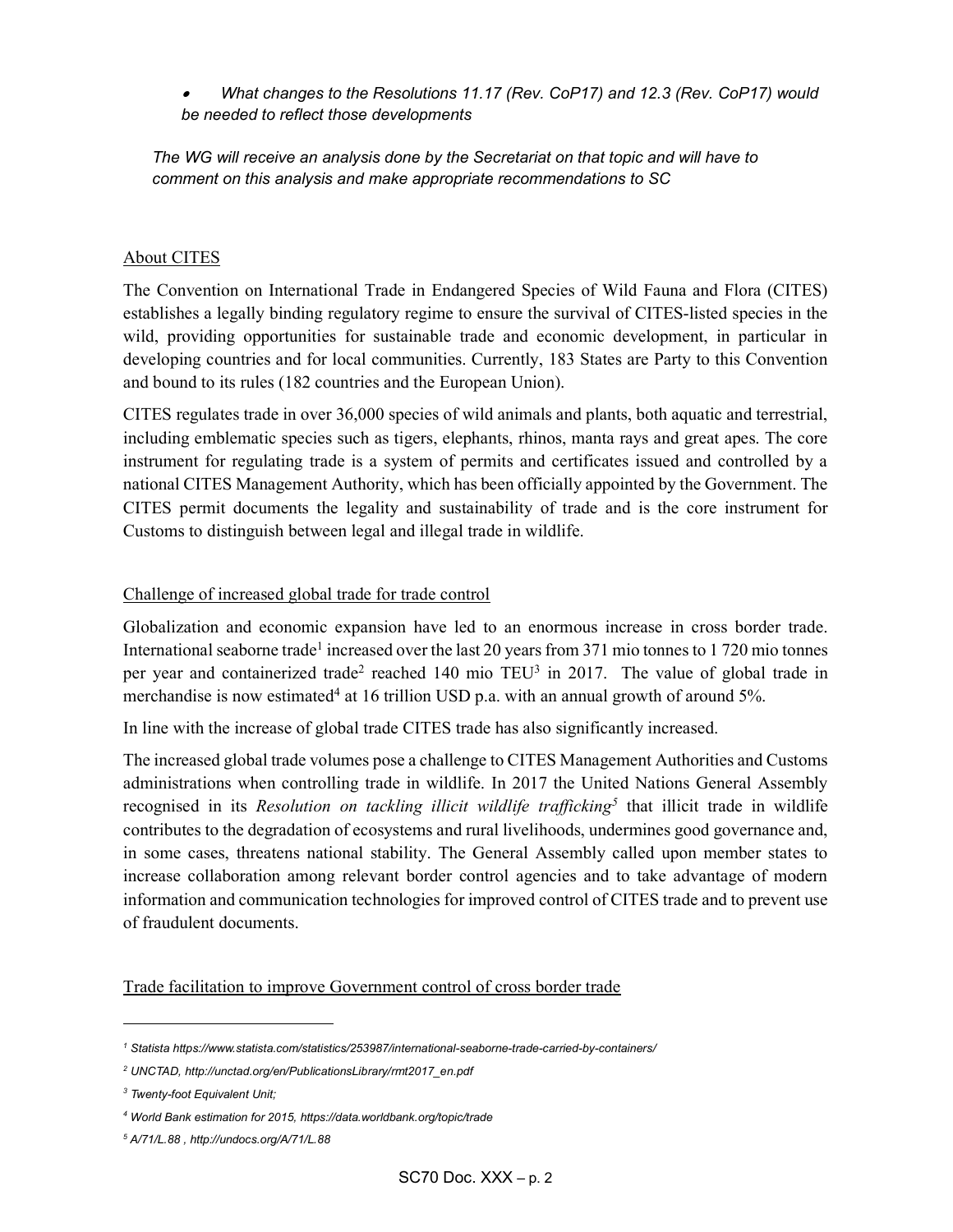What changes to the Resolutions 11.17 (Rev. CoP17) and 12.3 (Rev. CoP17) would be needed to reflect those developments

The WG will receive an analysis done by the Secretariat on that topic and will have to comment on this analysis and make appropriate recommendations to SC

### About CITES

The Convention on International Trade in Endangered Species of Wild Fauna and Flora (CITES) establishes a legally binding regulatory regime to ensure the survival of CITES-listed species in the wild, providing opportunities for sustainable trade and economic development, in particular in developing countries and for local communities. Currently, 183 States are Party to this Convention and bound to its rules (182 countries and the European Union).

CITES regulates trade in over 36,000 species of wild animals and plants, both aquatic and terrestrial, including emblematic species such as tigers, elephants, rhinos, manta rays and great apes. The core instrument for regulating trade is a system of permits and certificates issued and controlled by a national CITES Management Authority, which has been officially appointed by the Government. The CITES permit documents the legality and sustainability of trade and is the core instrument for Customs to distinguish between legal and illegal trade in wildlife.

### Challenge of increased global trade for trade control

Globalization and economic expansion have led to an enormous increase in cross border trade. International seaborne trade<sup>1</sup> increased over the last 20 years from 371 mio tonnes to 1 720 mio tonnes per year and containerized trade<sup>2</sup> reached 140 mio TEU<sup>3</sup> in 2017. The value of global trade in merchandise is now estimated<sup>4</sup> at 16 trillion USD p.a. with an annual growth of around 5%.

In line with the increase of global trade CITES trade has also significantly increased.

The increased global trade volumes pose a challenge to CITES Management Authorities and Customs administrations when controlling trade in wildlife. In 2017 the United Nations General Assembly recognised in its Resolution on tackling illicit wildlife trafficking<sup>5</sup> that illicit trade in wildlife contributes to the degradation of ecosystems and rural livelihoods, undermines good governance and, in some cases, threatens national stability. The General Assembly called upon member states to increase collaboration among relevant border control agencies and to take advantage of modern information and communication technologies for improved control of CITES trade and to prevent use of fraudulent documents.

Trade facilitation to improve Government control of cross border trade

-

<sup>1</sup> Statista https://www.statista.com/statistics/253987/international-seaborne-trade-carried-by-containers/

<sup>2</sup> UNCTAD, http://unctad.org/en/PublicationsLibrary/rmt2017\_en.pdf

<sup>&</sup>lt;sup>3</sup> Twenty-foot Equivalent Unit;

<sup>4</sup> World Bank estimation for 2015, https://data.worldbank.org/topic/trade

<sup>5</sup> A/71/L.88 , http://undocs.org/A/71/L.88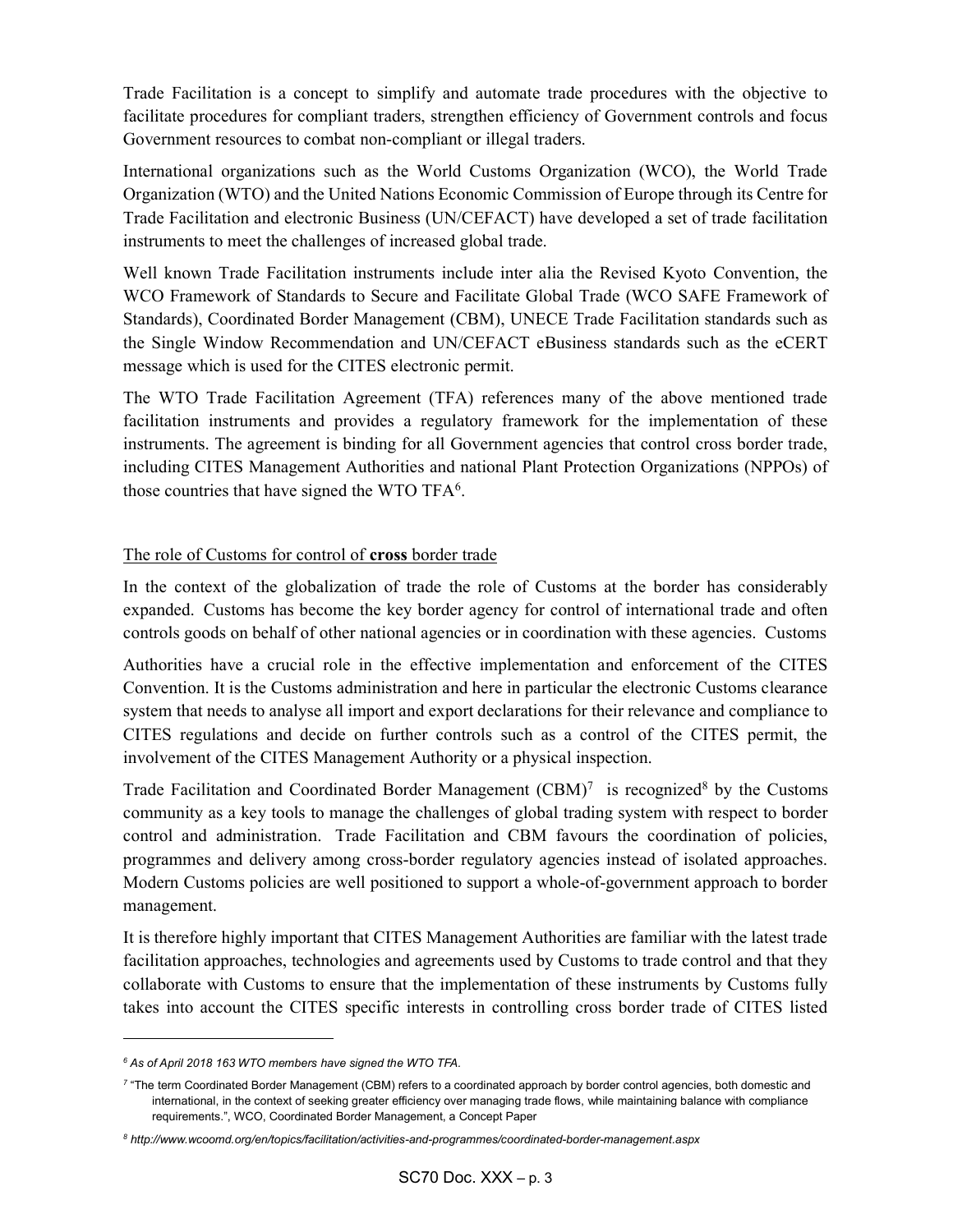Trade Facilitation is a concept to simplify and automate trade procedures with the objective to facilitate procedures for compliant traders, strengthen efficiency of Government controls and focus Government resources to combat non-compliant or illegal traders.

International organizations such as the World Customs Organization (WCO), the World Trade Organization (WTO) and the United Nations Economic Commission of Europe through its Centre for Trade Facilitation and electronic Business (UN/CEFACT) have developed a set of trade facilitation instruments to meet the challenges of increased global trade.

Well known Trade Facilitation instruments include inter alia the Revised Kyoto Convention, the WCO Framework of Standards to Secure and Facilitate Global Trade (WCO SAFE Framework of Standards), Coordinated Border Management (CBM), UNECE Trade Facilitation standards such as the Single Window Recommendation and UN/CEFACT eBusiness standards such as the eCERT message which is used for the CITES electronic permit.

The WTO Trade Facilitation Agreement (TFA) references many of the above mentioned trade facilitation instruments and provides a regulatory framework for the implementation of these instruments. The agreement is binding for all Government agencies that control cross border trade, including CITES Management Authorities and national Plant Protection Organizations (NPPOs) of those countries that have signed the WTO TF $A<sup>6</sup>$ .

# The role of Customs for control of cross border trade

In the context of the globalization of trade the role of Customs at the border has considerably expanded. Customs has become the key border agency for control of international trade and often controls goods on behalf of other national agencies or in coordination with these agencies. Customs

Authorities have a crucial role in the effective implementation and enforcement of the CITES Convention. It is the Customs administration and here in particular the electronic Customs clearance system that needs to analyse all import and export declarations for their relevance and compliance to CITES regulations and decide on further controls such as a control of the CITES permit, the involvement of the CITES Management Authority or a physical inspection.

Trade Facilitation and Coordinated Border Management  $(CBM)^7$  is recognized<sup>8</sup> by the Customs community as a key tools to manage the challenges of global trading system with respect to border control and administration. Trade Facilitation and CBM favours the coordination of policies, programmes and delivery among cross-border regulatory agencies instead of isolated approaches. Modern Customs policies are well positioned to support a whole-of-government approach to border management.

It is therefore highly important that CITES Management Authorities are familiar with the latest trade facilitation approaches, technologies and agreements used by Customs to trade control and that they collaborate with Customs to ensure that the implementation of these instruments by Customs fully takes into account the CITES specific interests in controlling cross border trade of CITES listed

-

<sup>6</sup> As of April 2018 163 WTO members have signed the WTO TFA.

<sup>7</sup> "The term Coordinated Border Management (CBM) refers to a coordinated approach by border control agencies, both domestic and international, in the context of seeking greater efficiency over managing trade flows, while maintaining balance with compliance requirements.", WCO, Coordinated Border Management, a Concept Paper

<sup>8</sup> http://www.wcoomd.org/en/topics/facilitation/activities-and-programmes/coordinated-border-management.aspx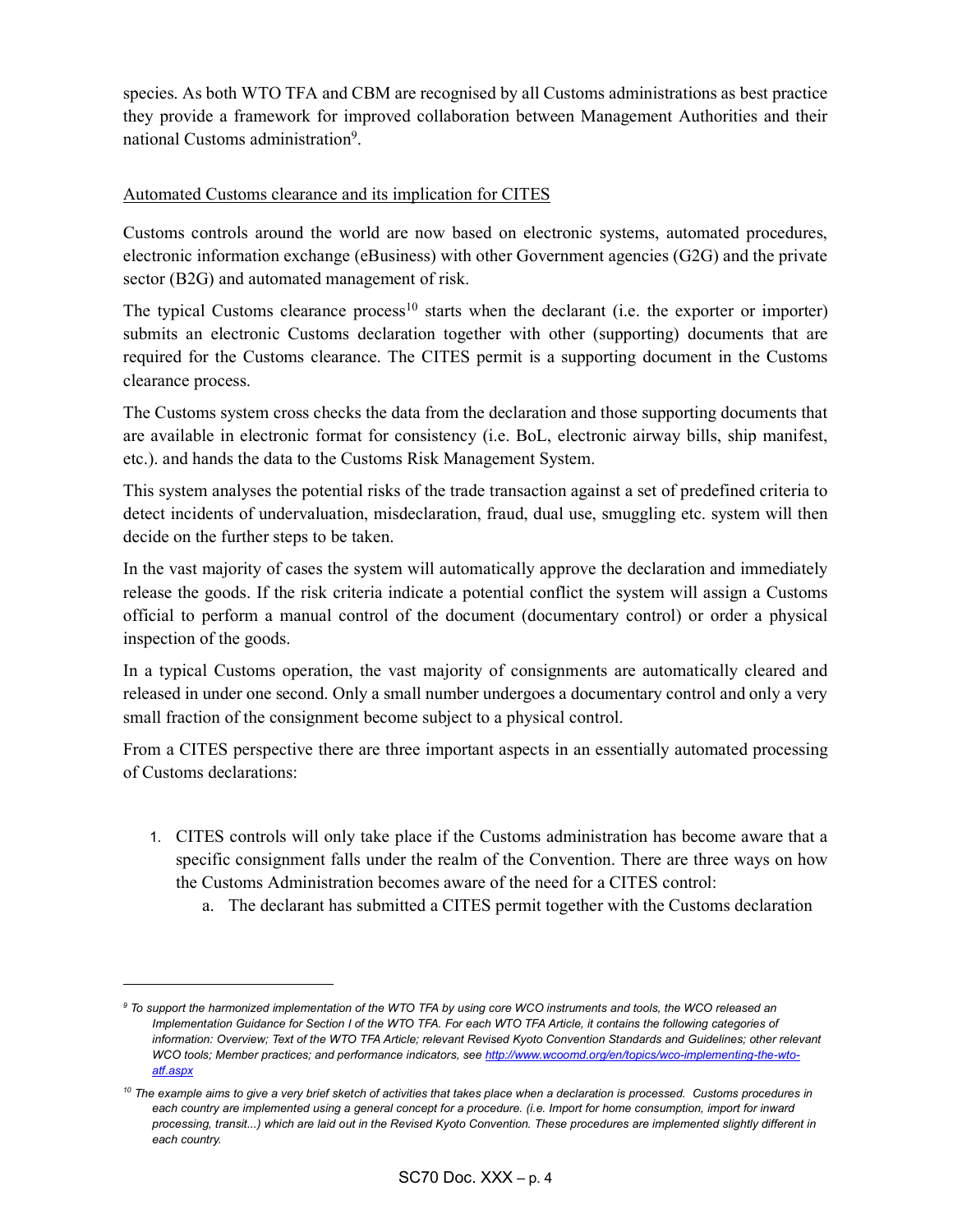species. As both WTO TFA and CBM are recognised by all Customs administrations as best practice they provide a framework for improved collaboration between Management Authorities and their national Customs administration<sup>9</sup>.

## Automated Customs clearance and its implication for CITES

Customs controls around the world are now based on electronic systems, automated procedures, electronic information exchange (eBusiness) with other Government agencies (G2G) and the private sector (B2G) and automated management of risk.

The typical Customs clearance process<sup>10</sup> starts when the declarant (i.e. the exporter or importer) submits an electronic Customs declaration together with other (supporting) documents that are required for the Customs clearance. The CITES permit is a supporting document in the Customs clearance process.

The Customs system cross checks the data from the declaration and those supporting documents that are available in electronic format for consistency (i.e. BoL, electronic airway bills, ship manifest, etc.). and hands the data to the Customs Risk Management System.

This system analyses the potential risks of the trade transaction against a set of predefined criteria to detect incidents of undervaluation, misdeclaration, fraud, dual use, smuggling etc. system will then decide on the further steps to be taken.

In the vast majority of cases the system will automatically approve the declaration and immediately release the goods. If the risk criteria indicate a potential conflict the system will assign a Customs official to perform a manual control of the document (documentary control) or order a physical inspection of the goods.

In a typical Customs operation, the vast majority of consignments are automatically cleared and released in under one second. Only a small number undergoes a documentary control and only a very small fraction of the consignment become subject to a physical control.

From a CITES perspective there are three important aspects in an essentially automated processing of Customs declarations:

- 1. CITES controls will only take place if the Customs administration has become aware that a specific consignment falls under the realm of the Convention. There are three ways on how the Customs Administration becomes aware of the need for a CITES control:
	- a. The declarant has submitted a CITES permit together with the Customs declaration

l

<sup>&</sup>lt;sup>9</sup> To support the harmonized implementation of the WTO TFA by using core WCO instruments and tools, the WCO released an Implementation Guidance for Section I of the WTO TFA. For each WTO TFA Article, it contains the following categories of information: Overview; Text of the WTO TFA Article; relevant Revised Kyoto Convention Standards and Guidelines; other relevant WCO tools; Member practices; and performance indicators, see http://www.wcoomd.org/en/topics/wco-implementing-the-wtoatf.aspx

<sup>&</sup>lt;sup>10</sup> The example aims to give a very brief sketch of activities that takes place when a declaration is processed. Customs procedures in each country are implemented using a general concept for a procedure. (i.e. Import for home consumption, import for inward processing, transit...) which are laid out in the Revised Kyoto Convention. These procedures are implemented slightly different in each country.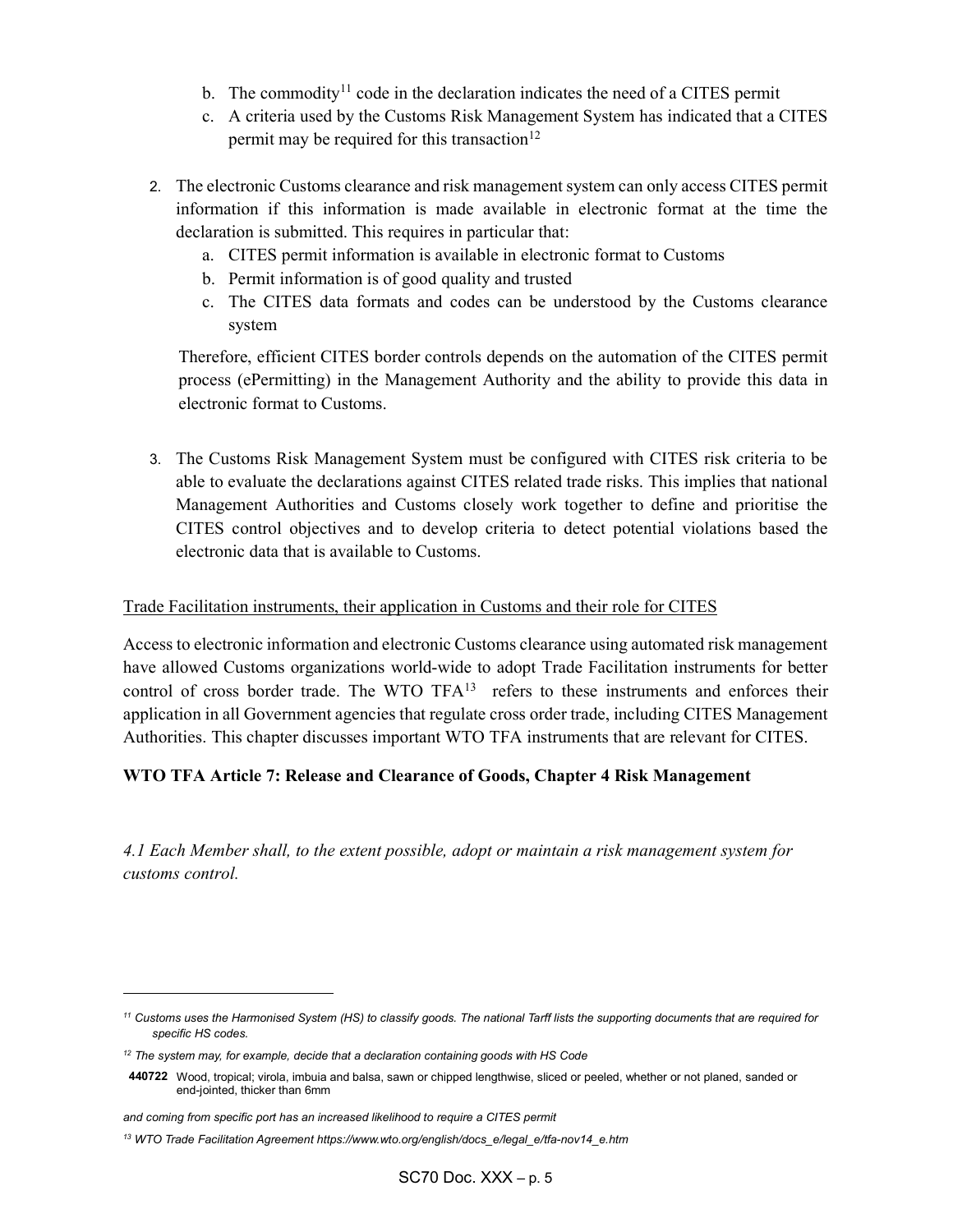- b. The commodity<sup>11</sup> code in the declaration indicates the need of a CITES permit
- c. A criteria used by the Customs Risk Management System has indicated that a CITES permit may be required for this transaction<sup>12</sup>
- 2. The electronic Customs clearance and risk management system can only access CITES permit information if this information is made available in electronic format at the time the declaration is submitted. This requires in particular that:
	- a. CITES permit information is available in electronic format to Customs
	- b. Permit information is of good quality and trusted
	- c. The CITES data formats and codes can be understood by the Customs clearance system

Therefore, efficient CITES border controls depends on the automation of the CITES permit process (ePermitting) in the Management Authority and the ability to provide this data in electronic format to Customs.

3. The Customs Risk Management System must be configured with CITES risk criteria to be able to evaluate the declarations against CITES related trade risks. This implies that national Management Authorities and Customs closely work together to define and prioritise the CITES control objectives and to develop criteria to detect potential violations based the electronic data that is available to Customs.

### Trade Facilitation instruments, their application in Customs and their role for CITES

Access to electronic information and electronic Customs clearance using automated risk management have allowed Customs organizations world-wide to adopt Trade Facilitation instruments for better control of cross border trade. The WTO TFA<sup>13</sup> refers to these instruments and enforces their application in all Government agencies that regulate cross order trade, including CITES Management Authorities. This chapter discusses important WTO TFA instruments that are relevant for CITES.

#### WTO TFA Article 7: Release and Clearance of Goods, Chapter 4 Risk Management

4.1 Each Member shall, to the extent possible, adopt or maintain a risk management system for customs control.

l

<sup>&</sup>lt;sup>11</sup> Customs uses the Harmonised System (HS) to classify goods. The national Tarff lists the supporting documents that are required for specific HS codes.

 $12$  The system may, for example, decide that a declaration containing goods with HS Code

<sup>440722</sup> Wood, tropical; virola, imbuia and balsa, sawn or chipped lengthwise, sliced or peeled, whether or not planed, sanded or end-jointed, thicker than 6mm

and coming from specific port has an increased likelihood to require a CITES permit

<sup>13</sup> WTO Trade Facilitation Agreement https://www.wto.org/english/docs\_e/legal\_e/tfa-nov14\_e.htm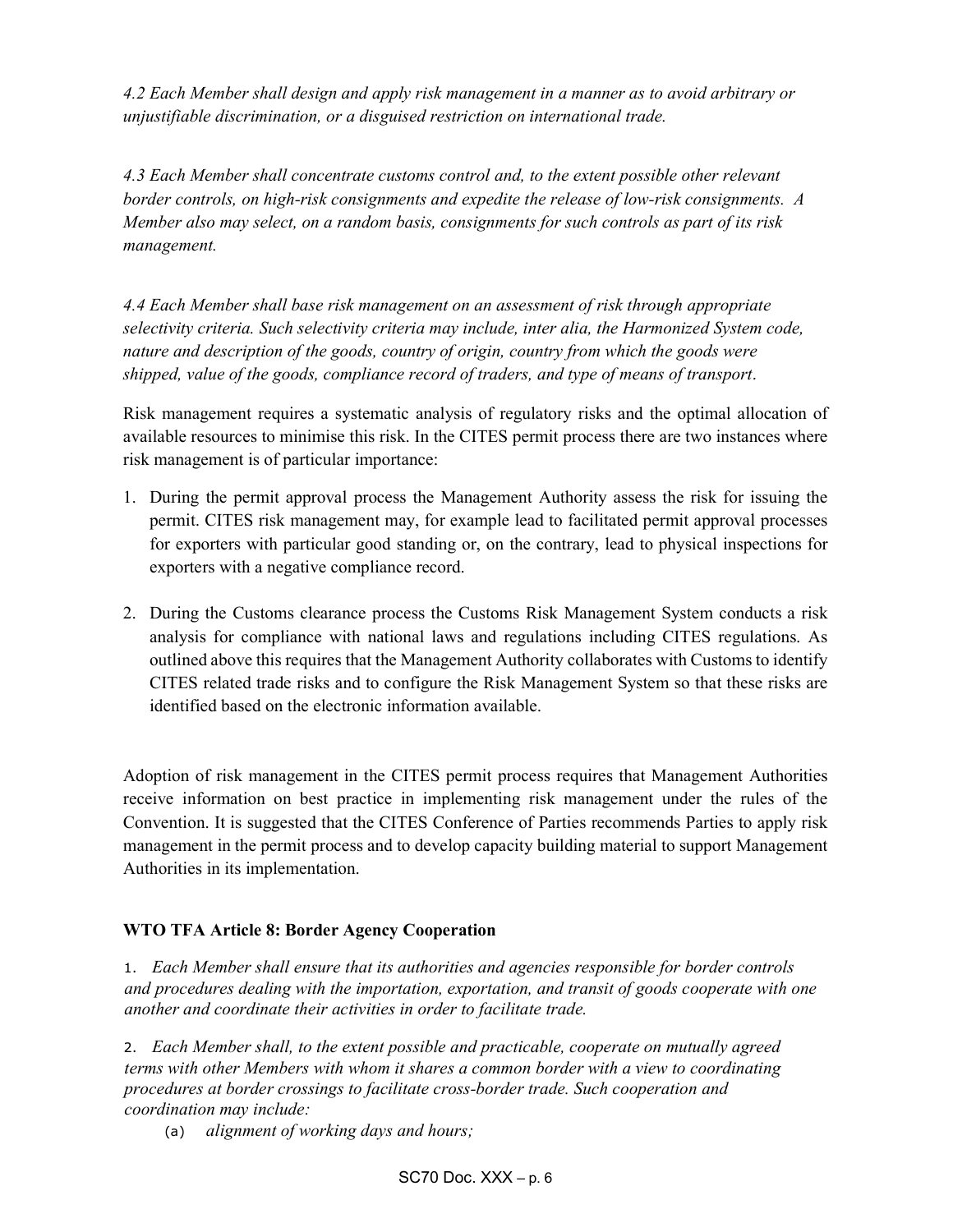4.2 Each Member shall design and apply risk management in a manner as to avoid arbitrary or unjustifiable discrimination, or a disguised restriction on international trade.

4.3 Each Member shall concentrate customs control and, to the extent possible other relevant border controls, on high-risk consignments and expedite the release of low-risk consignments. A Member also may select, on a random basis, consignments for such controls as part of its risk management.

4.4 Each Member shall base risk management on an assessment of risk through appropriate selectivity criteria. Such selectivity criteria may include, inter alia, the Harmonized System code, nature and description of the goods, country of origin, country from which the goods were shipped, value of the goods, compliance record of traders, and type of means of transport.

Risk management requires a systematic analysis of regulatory risks and the optimal allocation of available resources to minimise this risk. In the CITES permit process there are two instances where risk management is of particular importance:

- 1. During the permit approval process the Management Authority assess the risk for issuing the permit. CITES risk management may, for example lead to facilitated permit approval processes for exporters with particular good standing or, on the contrary, lead to physical inspections for exporters with a negative compliance record.
- 2. During the Customs clearance process the Customs Risk Management System conducts a risk analysis for compliance with national laws and regulations including CITES regulations. As outlined above this requires that the Management Authority collaborates with Customs to identify CITES related trade risks and to configure the Risk Management System so that these risks are identified based on the electronic information available.

Adoption of risk management in the CITES permit process requires that Management Authorities receive information on best practice in implementing risk management under the rules of the Convention. It is suggested that the CITES Conference of Parties recommends Parties to apply risk management in the permit process and to develop capacity building material to support Management Authorities in its implementation.

## WTO TFA Article 8: Border Agency Cooperation

1. Each Member shall ensure that its authorities and agencies responsible for border controls and procedures dealing with the importation, exportation, and transit of goods cooperate with one another and coordinate their activities in order to facilitate trade.

2. Each Member shall, to the extent possible and practicable, cooperate on mutually agreed terms with other Members with whom it shares a common border with a view to coordinating procedures at border crossings to facilitate cross-border trade. Such cooperation and coordination may include:

(a) alignment of working days and hours;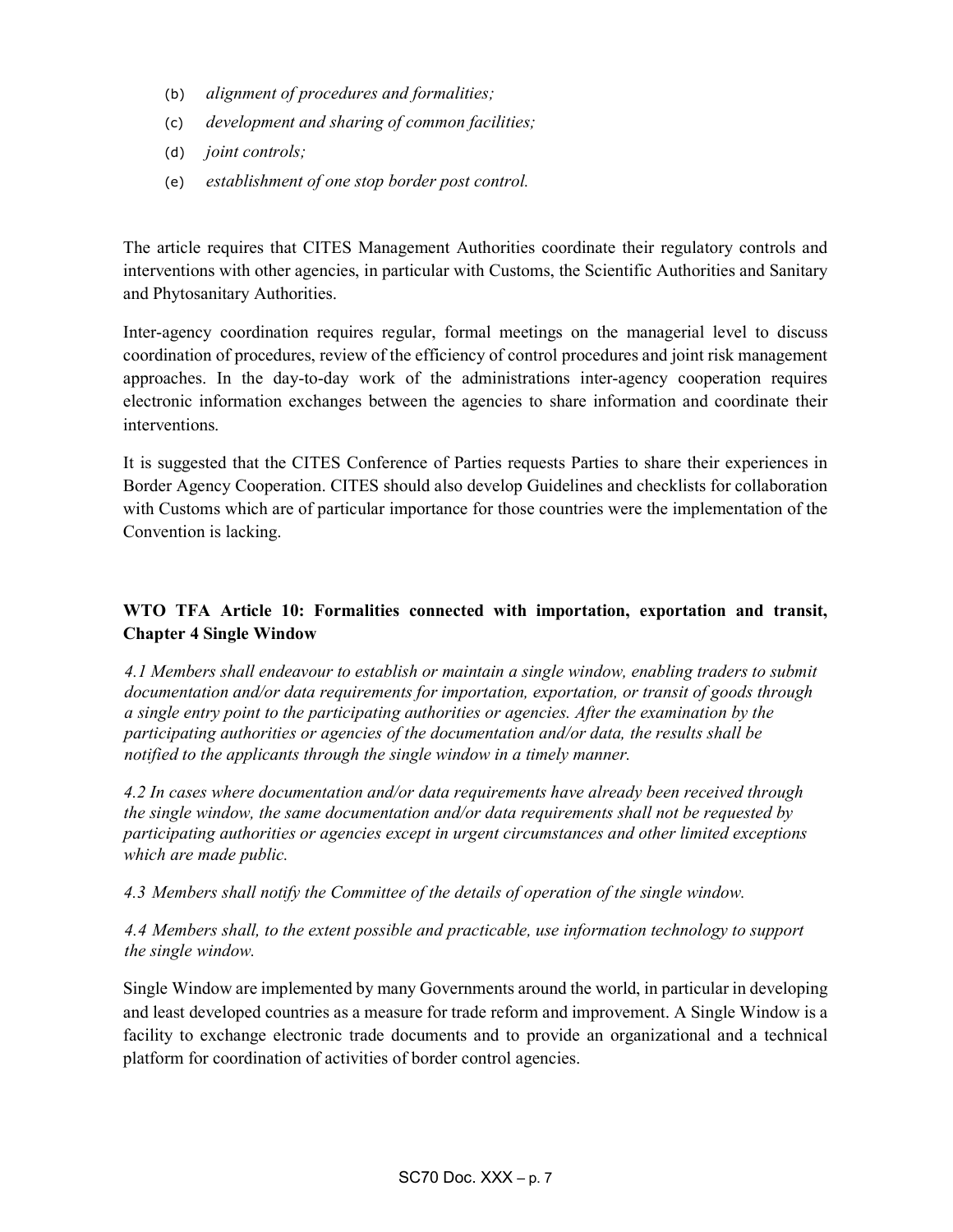- (b) alignment of procedures and formalities;
- (c) development and sharing of common facilities;
- (d) joint controls;
- (e) establishment of one stop border post control.

The article requires that CITES Management Authorities coordinate their regulatory controls and interventions with other agencies, in particular with Customs, the Scientific Authorities and Sanitary and Phytosanitary Authorities.

Inter-agency coordination requires regular, formal meetings on the managerial level to discuss coordination of procedures, review of the efficiency of control procedures and joint risk management approaches. In the day-to-day work of the administrations inter-agency cooperation requires electronic information exchanges between the agencies to share information and coordinate their interventions.

It is suggested that the CITES Conference of Parties requests Parties to share their experiences in Border Agency Cooperation. CITES should also develop Guidelines and checklists for collaboration with Customs which are of particular importance for those countries were the implementation of the Convention is lacking.

# WTO TFA Article 10: Formalities connected with importation, exportation and transit, Chapter 4 Single Window

4.1 Members shall endeavour to establish or maintain a single window, enabling traders to submit documentation and/or data requirements for importation, exportation, or transit of goods through a single entry point to the participating authorities or agencies. After the examination by the participating authorities or agencies of the documentation and/or data, the results shall be notified to the applicants through the single window in a timely manner.

4.2 In cases where documentation and/or data requirements have already been received through the single window, the same documentation and/or data requirements shall not be requested by participating authorities or agencies except in urgent circumstances and other limited exceptions which are made public.

#### 4.3 Members shall notify the Committee of the details of operation of the single window.

## 4.4 Members shall, to the extent possible and practicable, use information technology to support the single window.

Single Window are implemented by many Governments around the world, in particular in developing and least developed countries as a measure for trade reform and improvement. A Single Window is a facility to exchange electronic trade documents and to provide an organizational and a technical platform for coordination of activities of border control agencies.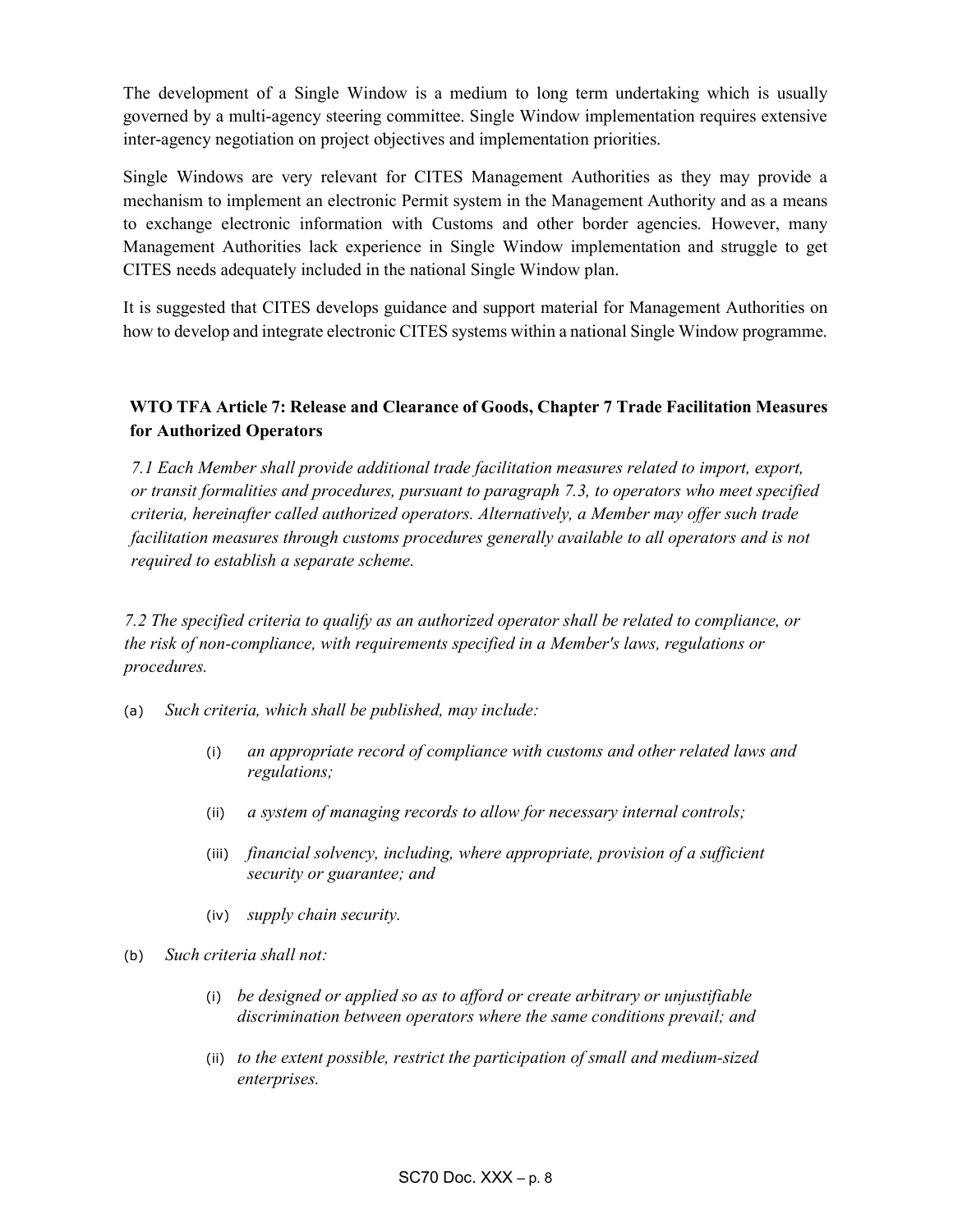The development of a Single Window is a medium to long term undertaking which is usually governed by a multi-agency steering committee. Single Window implementation requires extensive inter-agency negotiation on project objectives and implementation priorities.

Single Windows are very relevant for CITES Management Authorities as they may provide a mechanism to implement an electronic Permit system in the Management Authority and as a means to exchange electronic information with Customs and other border agencies. However, many Management Authorities lack experience in Single Window implementation and struggle to get CITES needs adequately included in the national Single Window plan.

It is suggested that CITES develops guidance and support material for Management Authorities on how to develop and integrate electronic CITES systems within a national Single Window programme.

# WTO TFA Article 7: Release and Clearance of Goods, Chapter 7 Trade Facilitation Measures for Authorized Operators

7.1 Each Member shall provide additional trade facilitation measures related to import, export, or transit formalities and procedures, pursuant to paragraph 7.3, to operators who meet specified criteria, hereinafter called authorized operators. Alternatively, a Member may offer such trade facilitation measures through customs procedures generally available to all operators and is not required to establish a separate scheme.

7.2 The specified criteria to qualify as an authorized operator shall be related to compliance, or the risk of non-compliance, with requirements specified in a Member's laws, regulations or procedures.

- (a) Such criteria, which shall be published, may include:
	- (i) an appropriate record of compliance with customs and other related laws and regulations;
	- (ii) a system of managing records to allow for necessary internal controls;
	- (iii) financial solvency, including, where appropriate, provision of a sufficient security or guarantee; and
	- (iv) supply chain security.
- (b) Such criteria shall not:
	- (i) be designed or applied so as to afford or create arbitrary or unjustifiable discrimination between operators where the same conditions prevail; and
	- (ii) to the extent possible, restrict the participation of small and medium-sized enterprises.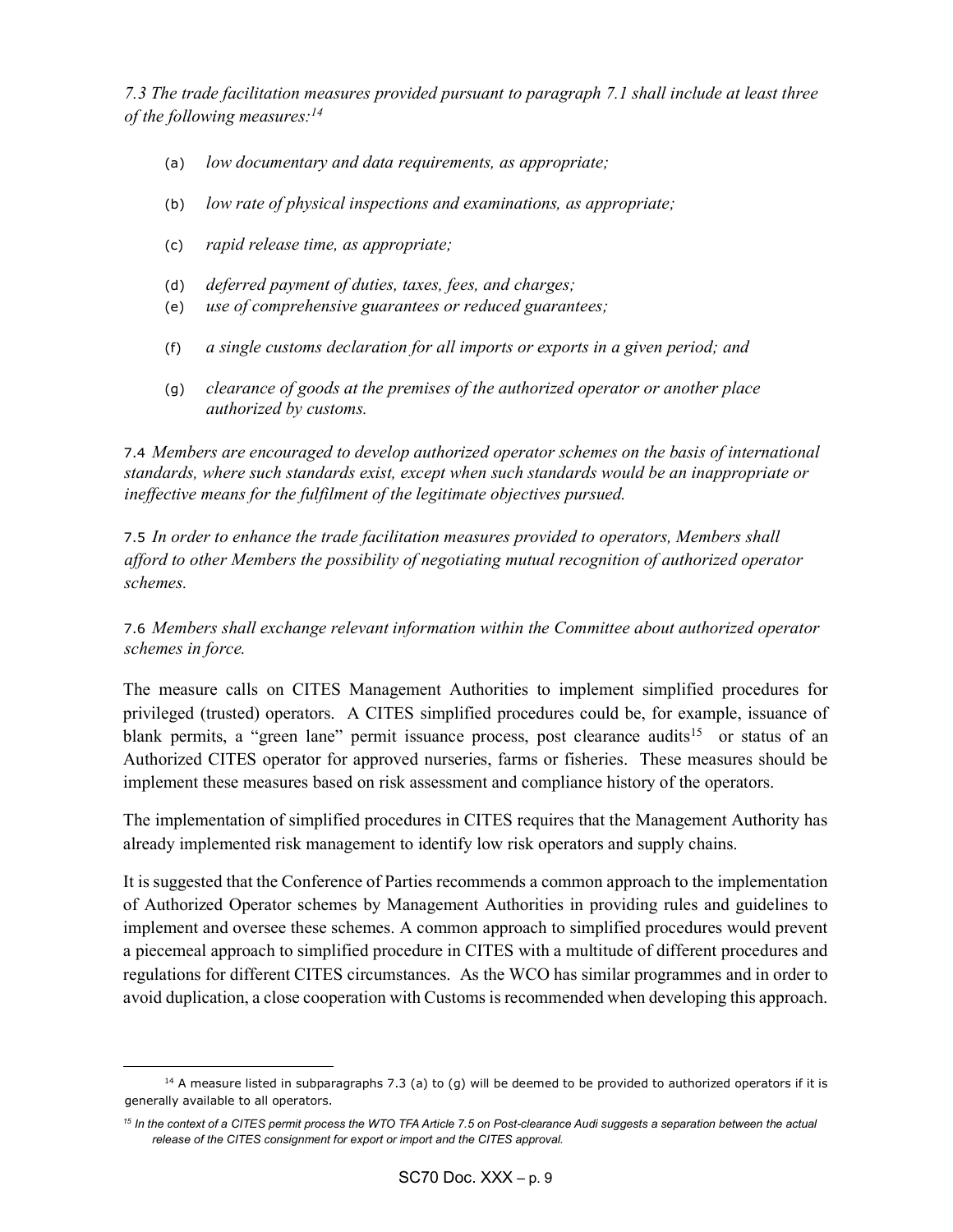7.3 The trade facilitation measures provided pursuant to paragraph 7.1 shall include at least three of the following measures: $^{14}$ 

- (a) low documentary and data requirements, as appropriate;
- (b) low rate of physical inspections and examinations, as appropriate;
- (c) rapid release time, as appropriate;

 $\overline{a}$ 

- (d) deferred payment of duties, taxes, fees, and charges;
- (e) use of comprehensive guarantees or reduced guarantees;
- (f) a single customs declaration for all imports or exports in a given period; and
- (g) clearance of goods at the premises of the authorized operator or another place authorized by customs.

7.4 Members are encouraged to develop authorized operator schemes on the basis of international standards, where such standards exist, except when such standards would be an inappropriate or ineffective means for the fulfilment of the legitimate objectives pursued.

7.5 In order to enhance the trade facilitation measures provided to operators, Members shall afford to other Members the possibility of negotiating mutual recognition of authorized operator schemes.

# 7.6 Members shall exchange relevant information within the Committee about authorized operator schemes in force.

The measure calls on CITES Management Authorities to implement simplified procedures for privileged (trusted) operators. A CITES simplified procedures could be, for example, issuance of blank permits, a "green lane" permit issuance process, post clearance audits<sup>15</sup> or status of an Authorized CITES operator for approved nurseries, farms or fisheries. These measures should be implement these measures based on risk assessment and compliance history of the operators.

The implementation of simplified procedures in CITES requires that the Management Authority has already implemented risk management to identify low risk operators and supply chains.

It is suggested that the Conference of Parties recommends a common approach to the implementation of Authorized Operator schemes by Management Authorities in providing rules and guidelines to implement and oversee these schemes. A common approach to simplified procedures would prevent a piecemeal approach to simplified procedure in CITES with a multitude of different procedures and regulations for different CITES circumstances. As the WCO has similar programmes and in order to avoid duplication, a close cooperation with Customs is recommended when developing this approach.

 $14$  A measure listed in subparagraphs 7.3 (a) to (g) will be deemed to be provided to authorized operators if it is generally available to all operators.

<sup>&</sup>lt;sup>15</sup> In the context of a CITES permit process the WTO TFA Article 7.5 on Post-clearance Audi suggests a separation between the actual release of the CITES consignment for export or import and the CITES approval.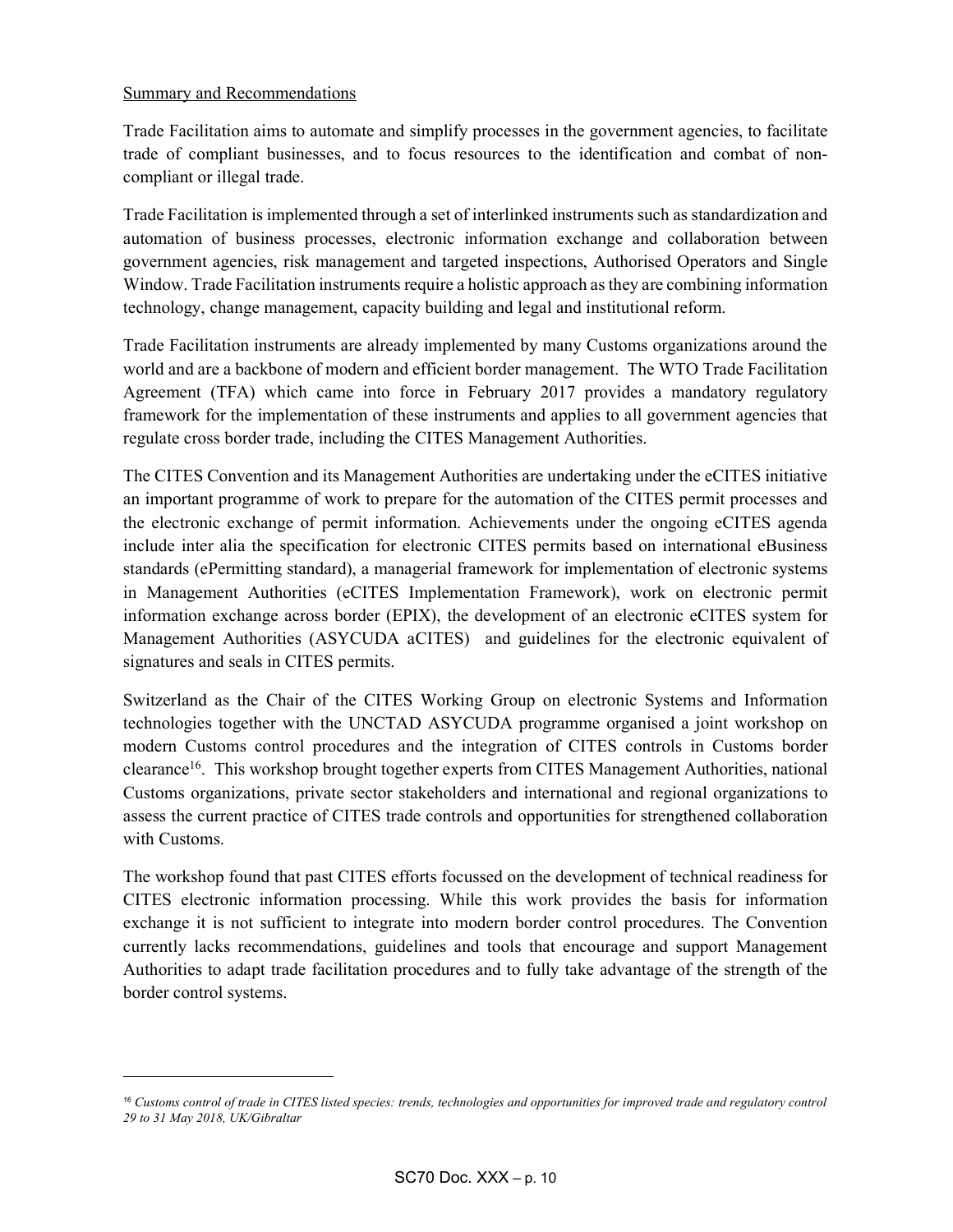#### Summary and Recommendations

l

Trade Facilitation aims to automate and simplify processes in the government agencies, to facilitate trade of compliant businesses, and to focus resources to the identification and combat of noncompliant or illegal trade.

Trade Facilitation is implemented through a set of interlinked instruments such as standardization and automation of business processes, electronic information exchange and collaboration between government agencies, risk management and targeted inspections, Authorised Operators and Single Window. Trade Facilitation instruments require a holistic approach as they are combining information technology, change management, capacity building and legal and institutional reform.

Trade Facilitation instruments are already implemented by many Customs organizations around the world and are a backbone of modern and efficient border management. The WTO Trade Facilitation Agreement (TFA) which came into force in February 2017 provides a mandatory regulatory framework for the implementation of these instruments and applies to all government agencies that regulate cross border trade, including the CITES Management Authorities.

The CITES Convention and its Management Authorities are undertaking under the eCITES initiative an important programme of work to prepare for the automation of the CITES permit processes and the electronic exchange of permit information. Achievements under the ongoing eCITES agenda include inter alia the specification for electronic CITES permits based on international eBusiness standards (ePermitting standard), a managerial framework for implementation of electronic systems in Management Authorities (eCITES Implementation Framework), work on electronic permit information exchange across border (EPIX), the development of an electronic eCITES system for Management Authorities (ASYCUDA aCITES) and guidelines for the electronic equivalent of signatures and seals in CITES permits.

Switzerland as the Chair of the CITES Working Group on electronic Systems and Information technologies together with the UNCTAD ASYCUDA programme organised a joint workshop on modern Customs control procedures and the integration of CITES controls in Customs border clearance<sup>16</sup>. This workshop brought together experts from CITES Management Authorities, national Customs organizations, private sector stakeholders and international and regional organizations to assess the current practice of CITES trade controls and opportunities for strengthened collaboration with Customs.

The workshop found that past CITES efforts focussed on the development of technical readiness for CITES electronic information processing. While this work provides the basis for information exchange it is not sufficient to integrate into modern border control procedures. The Convention currently lacks recommendations, guidelines and tools that encourage and support Management Authorities to adapt trade facilitation procedures and to fully take advantage of the strength of the border control systems.

<sup>16</sup> Customs control of trade in CITES listed species: trends, technologies and opportunities for improved trade and regulatory control 29 to 31 May 2018, UK/Gibraltar